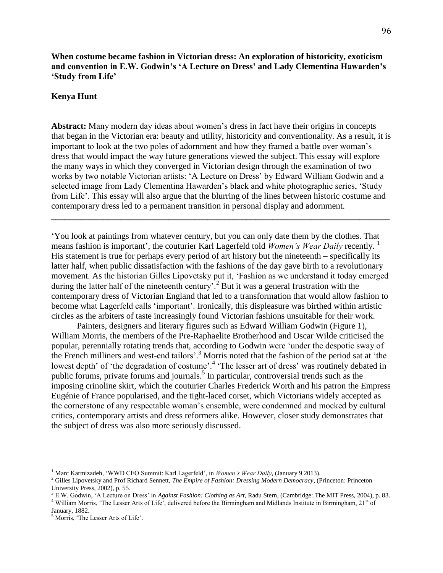**When costume became fashion in Victorian dress: An exploration of historicity, exoticism and convention in E.W. Godwin's 'A Lecture on Dress' and Lady Clementina Hawarden's 'Study from Life'**

## **Kenya Hunt**

**Abstract:** Many modern day ideas about women's dress in fact have their origins in concepts that began in the Victorian era: beauty and utility, historicity and conventionality. As a result, it is important to look at the two poles of adornment and how they framed a battle over woman's dress that would impact the way future generations viewed the subject. This essay will explore the many ways in which they converged in Victorian design through the examination of two works by two notable Victorian artists: 'A Lecture on Dress' by Edward William Godwin and a selected image from Lady Clementina Hawarden's black and white photographic series, 'Study from Life'. This essay will also argue that the blurring of the lines between historic costume and contemporary dress led to a permanent transition in personal display and adornment.

**\_\_\_\_\_\_\_\_\_\_\_\_\_\_\_\_\_\_\_\_\_\_\_\_\_\_\_\_\_\_\_\_\_\_\_\_\_\_\_\_\_\_\_\_\_\_\_\_\_\_\_\_\_\_\_\_\_\_\_\_\_\_\_\_\_\_\_\_\_\_\_\_\_\_\_\_\_\_**

'You look at paintings from whatever century, but you can only date them by the clothes. That means fashion is important', the couturier Karl Lagerfeld told *Women's Wear Daily* recently. <sup>1</sup> His statement is true for perhaps every period of art history but the nineteenth – specifically its latter half, when public dissatisfaction with the fashions of the day gave birth to a revolutionary movement. As the historian Gilles Lipovetsky put it, 'Fashion as we understand it today emerged during the latter half of the nineteenth century<sup>7</sup>.<sup>2</sup> But it was a general frustration with the contemporary dress of Victorian England that led to a transformation that would allow fashion to become what Lagerfeld calls 'important'. Ironically, this displeasure was birthed within artistic circles as the arbiters of taste increasingly found Victorian fashions unsuitable for their work.

Painters, designers and literary figures such as Edward William Godwin (Figure 1), William Morris, the members of the Pre-Raphaelite Brotherhood and Oscar Wilde criticised the popular, perennially rotating trends that, according to Godwin were 'under the despotic sway of the French milliners and west-end tailors'. <sup>3</sup> Morris noted that the fashion of the period sat at 'the lowest depth' of 'the degradation of costume'.<sup>4</sup> 'The lesser art of dress' was routinely debated in public forums, private forums and journals.<sup>5</sup> In particular, controversial trends such as the imposing crinoline skirt, which the couturier Charles Frederick Worth and his patron the Empress Eugénie of France popularised, and the tight-laced corset, which Victorians widely accepted as the cornerstone of any respectable woman's ensemble, were condemned and mocked by cultural critics, contemporary artists and dress reformers alike. However, closer study demonstrates that the subject of dress was also more seriously discussed.

<sup>1</sup> Marc Karmizadeh, 'WWD CEO Summit: Karl Lagerfeld', in *Women's Wear Daily*, (January 9 2013).

<sup>2</sup> Gilles Lipovetsky and Prof Richard Sennett, *The Empire of Fashion: Dressing Modern Democracy*, (Princeton: Princeton University Press, 2002), p. 55.

<sup>3</sup> E.W. Godwin, 'A Lecture on Dress' in *Against Fashion: Clothing as Art,* Radu Stern, (Cambridge: The MIT Press, 2004), p. 83.  $4$  William Morris, 'The Lesser Arts of Life<sup>7</sup>, delivered before the Birmingham and Midlands Institute in Birmingham,  $21<sup>st</sup>$  of

January, 1882.

<sup>5</sup> Morris, 'The Lesser Arts of Life'.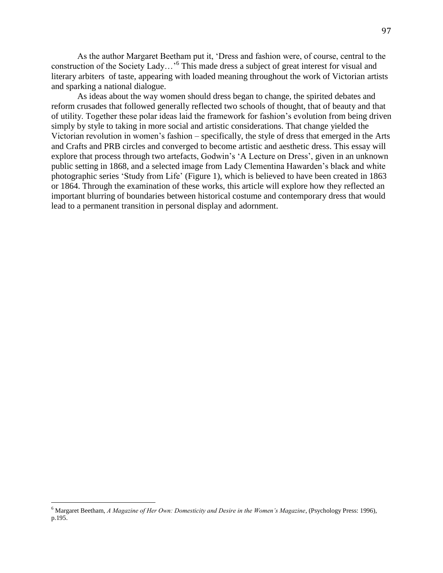As the author Margaret Beetham put it, 'Dress and fashion were, of course, central to the construction of the Society Lady...'<sup>6</sup> This made dress a subject of great interest for visual and literary arbiters of taste, appearing with loaded meaning throughout the work of Victorian artists and sparking a national dialogue.

As ideas about the way women should dress began to change, the spirited debates and reform crusades that followed generally reflected two schools of thought, that of beauty and that of utility. Together these polar ideas laid the framework for fashion's evolution from being driven simply by style to taking in more social and artistic considerations. That change yielded the Victorian revolution in women's fashion – specifically, the style of dress that emerged in the Arts and Crafts and PRB circles and converged to become artistic and aesthetic dress. This essay will explore that process through two artefacts, Godwin's 'A Lecture on Dress', given in an unknown public setting in 1868, and a selected image from Lady Clementina Hawarden's black and white photographic series 'Study from Life' (Figure 1), which is believed to have been created in 1863 or 1864. Through the examination of these works, this article will explore how they reflected an important blurring of boundaries between historical costume and contemporary dress that would lead to a permanent transition in personal display and adornment.

<sup>6</sup> Margaret Beetham, *A Magazine of Her Own: Domesticity and Desire in the Women's Magazine*, (Psychology Press: 1996), p.195.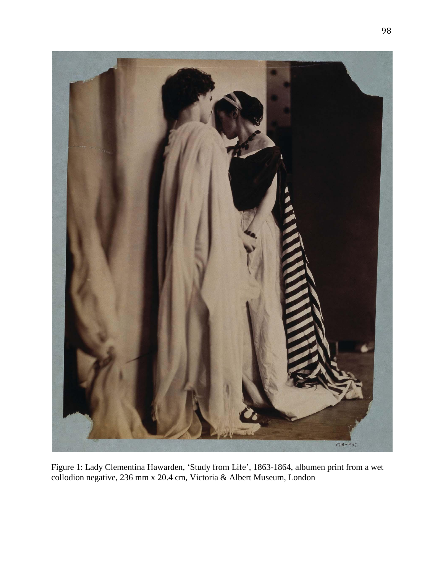

Figure 1: Lady Clementina Hawarden, 'Study from Life'*,* 1863-1864, albumen print from a wet collodion negative, 236 mm x 20.4 cm, Victoria & Albert Museum, London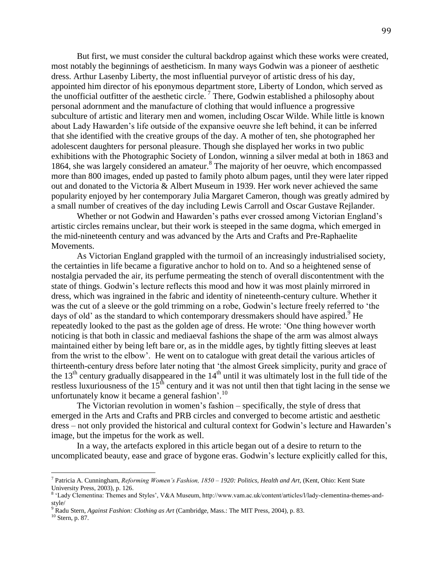But first, we must consider the cultural backdrop against which these works were created, most notably the beginnings of aestheticism. In many ways Godwin was a pioneer of aesthetic dress. Arthur Lasenby Liberty, the most influential purveyor of artistic dress of his day, appointed him director of his eponymous department store, Liberty of London, which served as the unofficial outfitter of the aesthetic circle.<sup>7</sup> There, Godwin established a philosophy about personal adornment and the manufacture of clothing that would influence a progressive subculture of artistic and literary men and women, including Oscar Wilde. While little is known about Lady Hawarden's life outside of the expansive oeuvre she left behind, it can be inferred that she identified with the creative groups of the day. A mother of ten, she photographed her adolescent daughters for personal pleasure. Though she displayed her works in two public exhibitions with the Photographic Society of London, winning a silver medal at both in 1863 and 1864, she was largely considered an amateur.<sup>8</sup> The majority of her oeuvre, which encompassed more than 800 images, ended up pasted to family photo album pages, until they were later ripped out and donated to the Victoria & Albert Museum in 1939. Her work never achieved the same popularity enjoyed by her contemporary Julia Margaret Cameron, though was greatly admired by a small number of creatives of the day including Lewis Carroll and Oscar Gustave Rejlander.

Whether or not Godwin and Hawarden's paths ever crossed among Victorian England's artistic circles remains unclear, but their work is steeped in the same dogma, which emerged in the mid-nineteenth century and was advanced by the Arts and Crafts and Pre-Raphaelite Movements.

As Victorian England grappled with the turmoil of an increasingly industrialised society, the certainties in life became a figurative anchor to hold on to. And so a heightened sense of nostalgia pervaded the air, its perfume permeating the stench of overall discontentment with the state of things. Godwin's lecture reflects this mood and how it was most plainly mirrored in dress, which was ingrained in the fabric and identity of nineteenth-century culture. Whether it was the cut of a sleeve or the gold trimming on a robe, Godwin's lecture freely referred to 'the days of old' as the standard to which contemporary dressmakers should have aspired.<sup>9</sup> He repeatedly looked to the past as the golden age of dress. He wrote: 'One thing however worth noticing is that both in classic and mediaeval fashions the shape of the arm was almost always maintained either by being left bare or, as in the middle ages, by tightly fitting sleeves at least from the wrist to the elbow'. He went on to catalogue with great detail the various articles of thirteenth-century dress before later noting that 'the almost Greek simplicity, purity and grace of the  $13<sup>th</sup>$  century gradually disappeared in the  $14<sup>th</sup>$  until it was ultimately lost in the full tide of the restless luxuriousness of the  $15<sup>th</sup>$  century and it was not until then that tight lacing in the sense we unfortunately know it became a general fashion'.<sup>10</sup>

The Victorian revolution in women's fashion – specifically, the style of dress that emerged in the Arts and Crafts and PRB circles and converged to become artistic and aesthetic dress – not only provided the historical and cultural context for Godwin's lecture and Hawarden's image, but the impetus for the work as well.

In a way, the artefacts explored in this article began out of a desire to return to the uncomplicated beauty, ease and grace of bygone eras. Godwin's lecture explicitly called for this,

<sup>7</sup> Patricia A. Cunningham, *Reforming Women's Fashion, 1850 – 1920: Politics, Health and Art,* (Kent, Ohio: Kent State University Press, 2003), p. 126.

<sup>8</sup> 'Lady Clementina: Themes and Styles', V&A Museum, http://www.vam.ac.uk/content/articles/l/lady-clementina-themes-andstyle/

<sup>9</sup> Radu Stern, *Against Fashion: Clothing as Art* (Cambridge, Mass.: The MIT Press, 2004), p. 83.

<sup>10</sup> Stern, p. 87.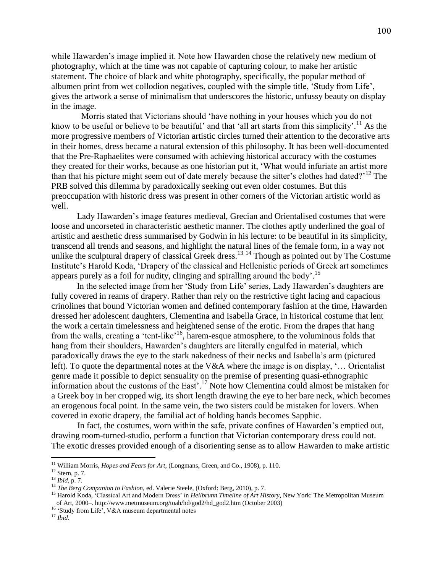while Hawarden's image implied it. Note how Hawarden chose the relatively new medium of photography, which at the time was not capable of capturing colour, to make her artistic statement. The choice of black and white photography, specifically, the popular method of albumen print from wet collodion negatives, coupled with the simple title, 'Study from Life', gives the artwork a sense of minimalism that underscores the historic, unfussy beauty on display in the image.

 Morris stated that Victorians should 'have nothing in your houses which you do not know to be useful or believe to be beautiful' and that 'all art starts from this simplicity'.<sup>11</sup> As the more progressive members of Victorian artistic circles turned their attention to the decorative arts in their homes, dress became a natural extension of this philosophy. It has been well-documented that the Pre-Raphaelites were consumed with achieving historical accuracy with the costumes they created for their works, because as one historian put it, 'What would infuriate an artist more than that his picture might seem out of date merely because the sitter's clothes had dated?<sup>12</sup> The PRB solved this dilemma by paradoxically seeking out even older costumes. But this preoccupation with historic dress was present in other corners of the Victorian artistic world as well.

Lady Hawarden's image features medieval, Grecian and Orientalised costumes that were loose and uncorseted in characteristic aesthetic manner. The clothes aptly underlined the goal of artistic and aesthetic dress summarised by Godwin in his lecture: to be beautiful in its simplicity, transcend all trends and seasons, and highlight the natural lines of the female form, in a way not unlike the sculptural drapery of classical Greek dress.<sup>13 14</sup> Though as pointed out by The Costume Institute's Harold Koda, 'Drapery of the classical and Hellenistic periods of Greek art sometimes appears purely as a foil for nudity, clinging and spiralling around the body'.<sup>15</sup>

In the selected image from her 'Study from Life' series, Lady Hawarden's daughters are fully covered in reams of drapery. Rather than rely on the restrictive tight lacing and capacious crinolines that bound Victorian women and defined contemporary fashion at the time, Hawarden dressed her adolescent daughters, Clementina and Isabella Grace, in historical costume that lent the work a certain timelessness and heightened sense of the erotic. From the drapes that hang from the walls, creating a 'tent-like'<sup>16</sup>, harem-esque atmosphere, to the voluminous folds that hang from their shoulders, Hawarden's daughters are literally engulfed in material, which paradoxically draws the eye to the stark nakedness of their necks and Isabella's arm (pictured left). To quote the departmental notes at the V&A where the image is on display, '… Orientalist genre made it possible to depict sensuality on the premise of presenting quasi-ethnographic information about the customs of the East'.<sup>17</sup> Note how Clementina could almost be mistaken for a Greek boy in her cropped wig, its short length drawing the eye to her bare neck, which becomes an erogenous focal point. In the same vein, the two sisters could be mistaken for lovers. When covered in exotic drapery, the familial act of holding hands becomes Sapphic.

In fact, the costumes, worn within the safe, private confines of Hawarden's emptied out, drawing room-turned-studio, perform a function that Victorian contemporary dress could not. The exotic dresses provided enough of a disorienting sense as to allow Hawarden to make artistic

 $\overline{a}$ 

<sup>16</sup> 'Study from Life', V&A museum departmental notes

<sup>&</sup>lt;sup>11</sup> William Morris, *Hopes and Fears for Art*, (Longmans, Green, and Co., 1908), p. 110.

<sup>12</sup> Stern, p. 7.

<sup>13</sup> *Ibid*, p. 7.

<sup>&</sup>lt;sup>14</sup> *The Berg Companion to Fashion, ed. Valerie Steele, (Oxford: Berg, 2010), p. 7.* 

<sup>15</sup> Harold Koda, 'Classical Art and Modern Dress' in *Heilbrunn Timeline of Art History*, New York: The Metropolitan Museum of Art, 2000–. http://www.metmuseum.org/toah/hd/god2/hd\_god2.htm (October 2003)

<sup>17</sup> *Ibid.*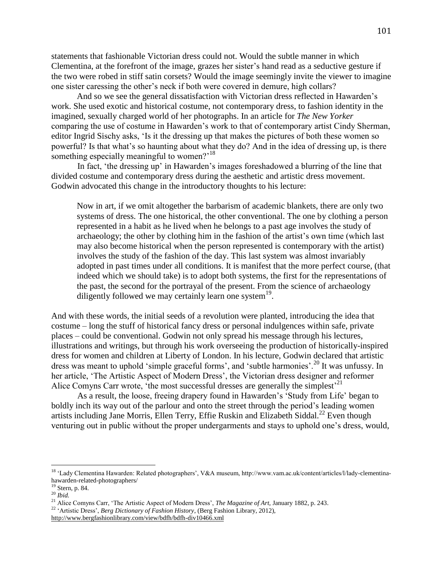statements that fashionable Victorian dress could not. Would the subtle manner in which Clementina, at the forefront of the image, grazes her sister's hand read as a seductive gesture if the two were robed in stiff satin corsets? Would the image seemingly invite the viewer to imagine one sister caressing the other's neck if both were covered in demure, high collars?

And so we see the general dissatisfaction with Victorian dress reflected in Hawarden's work. She used exotic and historical costume, not contemporary dress, to fashion identity in the imagined, sexually charged world of her photographs. In an article for *The New Yorker* comparing the use of costume in Hawarden's work to that of contemporary artist Cindy Sherman, editor Ingrid Sischy asks, 'Is it the dressing up that makes the pictures of both these women so powerful? Is that what's so haunting about what they do? And in the idea of dressing up, is there something especially meaningful to women?<sup>18</sup>

In fact, 'the dressing up' in Hawarden's images foreshadowed a blurring of the line that divided costume and contemporary dress during the aesthetic and artistic dress movement. Godwin advocated this change in the introductory thoughts to his lecture:

Now in art, if we omit altogether the barbarism of academic blankets, there are only two systems of dress. The one historical, the other conventional. The one by clothing a person represented in a habit as he lived when he belongs to a past age involves the study of archaeology; the other by clothing him in the fashion of the artist's own time (which last may also become historical when the person represented is contemporary with the artist) involves the study of the fashion of the day. This last system was almost invariably adopted in past times under all conditions. It is manifest that the more perfect course, (that indeed which we should take) is to adopt both systems, the first for the representations of the past, the second for the portrayal of the present. From the science of archaeology diligently followed we may certainly learn one system<sup>19</sup>.

And with these words, the initial seeds of a revolution were planted, introducing the idea that costume – long the stuff of historical fancy dress or personal indulgences within safe, private places – could be conventional. Godwin not only spread his message through his lectures, illustrations and writings, but through his work overseeing the production of historically-inspired dress for women and children at Liberty of London. In his lecture, Godwin declared that artistic dress was meant to uphold 'simple graceful forms', and 'subtle harmonies'.<sup>20</sup> It was unfussy. In her article, 'The Artistic Aspect of Modern Dress', the Victorian dress designer and reformer Alice Comyns Carr wrote, 'the most successful dresses are generally the simplest'<sup>21</sup>

As a result, the loose, freeing drapery found in Hawarden's 'Study from Life' began to boldly inch its way out of the parlour and onto the street through the period's leading women artists including Jane Morris, Ellen Terry, Effie Ruskin and Elizabeth Siddal.<sup>22</sup> Even though venturing out in public without the proper undergarments and stays to uphold one's dress, would,

<sup>&</sup>lt;sup>18</sup> 'Lady Clementina Hawarden: Related photographers', V&A museum, http://www.vam.ac.uk/content/articles/l/lady-clementinahawarden-related-photographers/

<sup>19</sup> Stern, p. 84.

<sup>20</sup> *Ibid.*

<sup>&</sup>lt;sup>21</sup> Alice Comyns Carr, 'The Artistic Aspect of Modern Dress', *The Magazine of Art*, January 1882, p. 243.

<sup>22</sup> 'Artistic Dress', *Berg Dictionary of Fashion History*, (Berg Fashion Library, 2012),

<http://www.bergfashionlibrary.com/view/bdfh/bdfh-div10466.xml>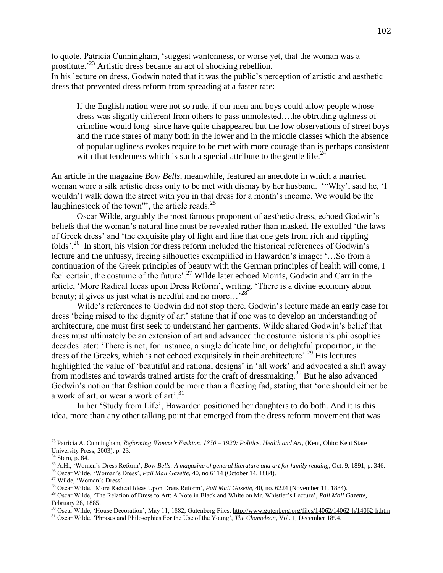to quote, Patricia Cunningham, 'suggest wantonness, or worse yet, that the woman was a prostitute.'<sup>23</sup> Artistic dress became an act of shocking rebellion.

In his lecture on dress, Godwin noted that it was the public's perception of artistic and aesthetic dress that prevented dress reform from spreading at a faster rate:

If the English nation were not so rude, if our men and boys could allow people whose dress was slightly different from others to pass unmolested…the obtruding ugliness of crinoline would long since have quite disappeared but the low observations of street boys and the rude stares of many both in the lower and in the middle classes which the absence of popular ugliness evokes require to be met with more courage than is perhaps consistent with that tenderness which is such a special attribute to the gentle life.<sup>24</sup>

An article in the magazine *Bow Bells*, meanwhile, featured an anecdote in which a married woman wore a silk artistic dress only to be met with dismay by her husband. '"Why', said he, 'I wouldn't walk down the street with you in that dress for a month's income. We would be the laughingstock of the town"', the article reads. $^{25}$ 

Oscar Wilde, arguably the most famous proponent of aesthetic dress, echoed Godwin's beliefs that the woman's natural line must be revealed rather than masked. He extolled 'the laws of Greek dress' and 'the exquisite play of light and line that one gets from rich and rippling folds'.<sup>26</sup> In short, his vision for dress reform included the historical references of Godwin's lecture and the unfussy, freeing silhouettes exemplified in Hawarden's image: '…So from a continuation of the Greek principles of beauty with the German principles of health will come, I feel certain, the costume of the future'.<sup>27</sup> Wilde later echoed Morris, Godwin and Carr in the article, 'More Radical Ideas upon Dress Reform', writing, 'There is a divine economy about beauty; it gives us just what is needful and no more...<sup>28</sup>

Wilde's references to Godwin did not stop there. Godwin's lecture made an early case for dress 'being raised to the dignity of art' stating that if one was to develop an understanding of architecture, one must first seek to understand her garments. Wilde shared Godwin's belief that dress must ultimately be an extension of art and advanced the costume historian's philosophies decades later: 'There is not, for instance, a single delicate line, or delightful proportion, in the dress of the Greeks, which is not echoed exquisitely in their architecture'.<sup>29</sup> His lectures highlighted the value of 'beautiful and rational designs' in 'all work' and advocated a shift away from modistes and towards trained artists for the craft of dressmaking.<sup>30</sup> But he also advanced Godwin's notion that fashion could be more than a fleeting fad, stating that 'one should either be a work of art, or wear a work of art'.<sup>31</sup>

In her 'Study from Life', Hawarden positioned her daughters to do both. And it is this idea, more than any other talking point that emerged from the dress reform movement that was

<sup>23</sup> Patricia A. Cunningham, *Reforming Women's Fashion, 1850 – 1920: Politics, Health and Art,* (Kent, Ohio: Kent State University Press, 2003), p. 23.

<sup>24</sup> Stern, p. 84.

<sup>25</sup> A.H., 'Women's Dress Reform', *Bow Bells: A magazine of general literature and art for family reading*, Oct. 9, 1891, p. 346.

<sup>26</sup> Oscar Wilde, 'Woman's Dress', *Pall Mall Gazette,* 40, no 6114 (October 14, 1884).

<sup>27</sup> Wilde, 'Woman's Dress'.

<sup>28</sup> Oscar Wilde, 'More Radical Ideas Upon Dress Reform', *Pall Mall Gazette,* 40, no. 6224 (November 11, 1884).

<sup>29</sup> Oscar Wilde, 'The Relation of Dress to Art: A Note in Black and White on Mr. Whistler's Lecture', *Pall Mall Gazette*, February 28, 1885.

<sup>&</sup>lt;sup>30</sup> Oscar Wilde, 'House Decoration', May 11, 1882, Gutenberg Files[, http://www.gutenberg.org/files/14062/14062-h/14062-h.htm](http://www.gutenberg.org/files/14062/14062-h/14062-h.htm)

<sup>31</sup> Oscar Wilde, 'Phrases and Philosophies For the Use of the Young', *The Chameleon,* Vol. 1, December 1894.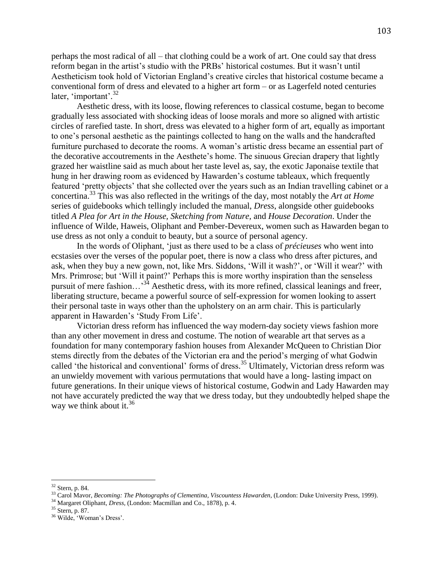perhaps the most radical of all – that clothing could be a work of art. One could say that dress reform began in the artist's studio with the PRBs' historical costumes. But it wasn't until Aestheticism took hold of Victorian England's creative circles that historical costume became a conventional form of dress and elevated to a higher art form – or as Lagerfeld noted centuries later, 'important'.<sup>32</sup>

Aesthetic dress, with its loose, flowing references to classical costume, began to become gradually less associated with shocking ideas of loose morals and more so aligned with artistic circles of rarefied taste. In short, dress was elevated to a higher form of art, equally as important to one's personal aesthetic as the paintings collected to hang on the walls and the handcrafted furniture purchased to decorate the rooms. A woman's artistic dress became an essential part of the decorative accoutrements in the Aesthete's home. The sinuous Grecian drapery that lightly grazed her waistline said as much about her taste level as, say, the exotic Japonaise textile that hung in her drawing room as evidenced by Hawarden's costume tableaux, which frequently featured 'pretty objects' that she collected over the years such as an Indian travelling cabinet or a concertina.<sup>33</sup> This was also reflected in the writings of the day, most notably the *Art at Home* series of guidebooks which tellingly included the manual, *Dress*, alongside other guidebooks titled *A Plea for Art in the House, Sketching from Nature,* and *House Decoration*. Under the influence of Wilde, Haweis, Oliphant and Pember-Devereux, women such as Hawarden began to use dress as not only a conduit to beauty, but a source of personal agency.

In the words of Oliphant, 'just as there used to be a class of *précieuses* who went into ecstasies over the verses of the popular poet, there is now a class who dress after pictures, and ask, when they buy a new gown, not, like Mrs. Siddons, 'Will it wash?', or 'Will it wear?' with Mrs. Primrose; but 'Will it paint?' Perhaps this is more worthy inspiration than the senseless pursuit of mere fashion...<sup>34</sup> Aesthetic dress, with its more refined, classical leanings and freer, liberating structure, became a powerful source of self-expression for women looking to assert their personal taste in ways other than the upholstery on an arm chair. This is particularly apparent in Hawarden's 'Study From Life'.

Victorian dress reform has influenced the way modern-day society views fashion more than any other movement in dress and costume. The notion of wearable art that serves as a foundation for many contemporary fashion houses from Alexander McQueen to Christian Dior stems directly from the debates of the Victorian era and the period's merging of what Godwin called 'the historical and conventional' forms of dress. <sup>35</sup> Ultimately, Victorian dress reform was an unwieldy movement with various permutations that would have a long- lasting impact on future generations. In their unique views of historical costume, Godwin and Lady Hawarden may not have accurately predicted the way that we dress today, but they undoubtedly helped shape the way we think about it.<sup>36</sup>

 $32$  Stern, p. 84.

<sup>33</sup> Carol Mavor, *Becoming: The Photographs of Clementina, Viscountess Hawarden*, (London: Duke University Press, 1999).

<sup>34</sup> Margaret Oliphant, *Dress,* (London: Macmillan and Co., 1878), p. 4.

<sup>35</sup> Stern, p. 87.

<sup>36</sup> Wilde, 'Woman's Dress'.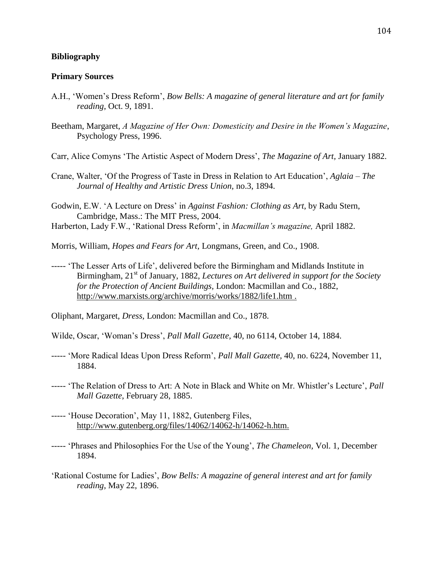## **Bibliography**

## **Primary Sources**

- A.H., 'Women's Dress Reform', *Bow Bells: A magazine of general literature and art for family reading*, Oct. 9, 1891.
- Beetham, Margaret, *A Magazine of Her Own: Domesticity and Desire in the Women's Magazine*, Psychology Press, 1996.
- Carr, Alice Comyns 'The Artistic Aspect of Modern Dress', *The Magazine of Art,* January 1882.
- Crane, Walter, 'Of the Progress of Taste in Dress in Relation to Art Education', *Aglaia – The Journal of Healthy and Artistic Dress Union,* no.3, 1894.
- Godwin, E.W. 'A Lecture on Dress' in *Against Fashion: Clothing as Art,* by Radu Stern, Cambridge, Mass.: The MIT Press, 2004.
- Harberton, Lady F.W., 'Rational Dress Reform', in *Macmillan's magazine,* April 1882.
- Morris, William, *Hopes and Fears for Art,* Longmans, Green, and Co., 1908.
- ----- 'The Lesser Arts of Life', delivered before the Birmingham and Midlands Institute in Birmingham, 21<sup>st</sup> of January, 1882, *Lectures on Art delivered in support for the Society for the Protection of Ancient Buildings,* London: Macmillan and Co., 1882, <http://www.marxists.org/archive/morris/works/1882/life1.htm> .

Oliphant, Margaret, *Dress,* London: Macmillan and Co., 1878.

- Wilde, Oscar, 'Woman's Dress', *Pall Mall Gazette,* 40, no 6114, October 14, 1884.
- ----- 'More Radical Ideas Upon Dress Reform', *Pall Mall Gazette,* 40, no. 6224, November 11, 1884.
- ----- 'The Relation of Dress to Art: A Note in Black and White on Mr. Whistler's Lecture', *Pall Mall Gazette*, February 28, 1885.
- ----- 'House Decoration', May 11, 1882, Gutenberg Files, [http://www.gutenberg.org/files/14062/14062-h/14062-h.htm.](http://www.gutenberg.org/files/14062/14062-h/14062-h.htm)
- ----- 'Phrases and Philosophies For the Use of the Young', *The Chameleon,* Vol. 1, December 1894.
- 'Rational Costume for Ladies', *Bow Bells: A magazine of general interest and art for family reading*, May 22, 1896.